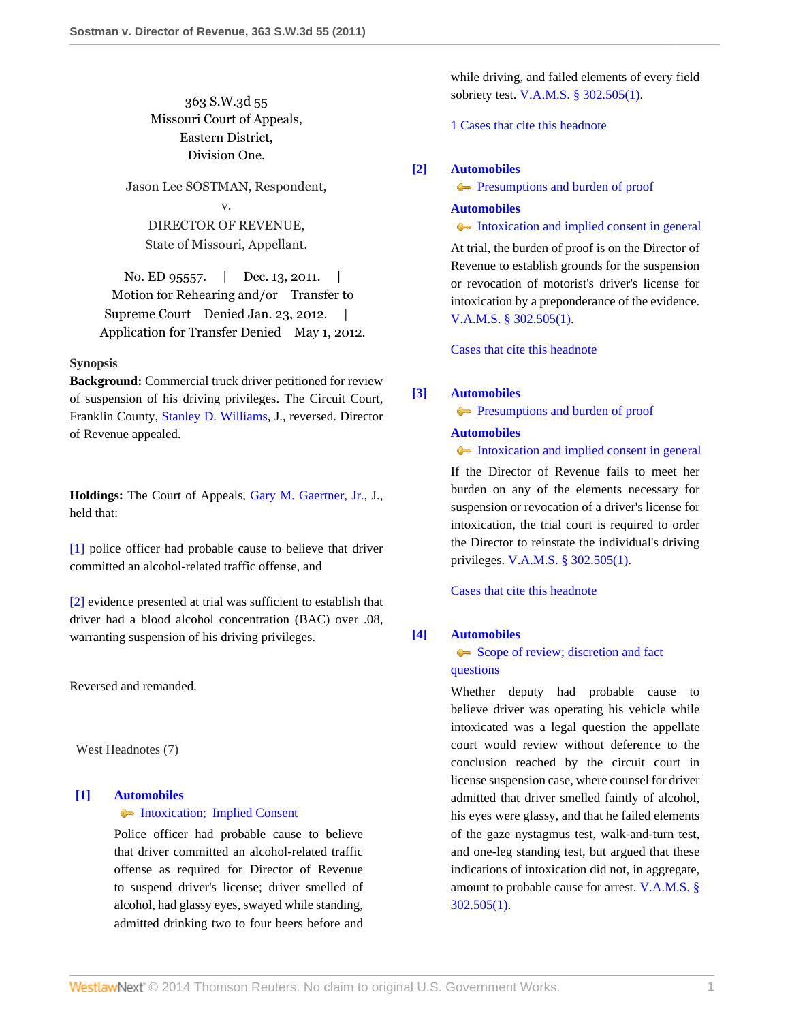363 S.W.3d 55 Missouri Court of Appeals, Eastern District, Division One.

Jason Lee SOSTMAN, Respondent,

v.

DIRECTOR OF REVENUE, State of Missouri, Appellant.

No. ED 95557. | Dec. 13, 2011. | Motion for Rehearing and/or Transfer to Supreme Court Denied Jan. 23, 2012. Application for Transfer Denied May 1, 2012.

### **Synopsis**

**Background:** Commercial truck driver petitioned for review of suspension of his driving privileges. The Circuit Court, Franklin County, [Stanley D. Williams](http://www.westlaw.com/Link/Document/FullText?findType=h&pubNum=176284&cite=0277289801&originatingDoc=I5f2e27eb261311e18da7c4363d0963b0&refType=RQ&originationContext=document&vr=3.0&rs=cblt1.0&transitionType=DocumentItem&contextData=(sc.Search)), J., reversed. Director of Revenue appealed.

**Holdings:** The Court of Appeals, [Gary M. Gaertner, Jr.](http://www.westlaw.com/Link/Document/FullText?findType=h&pubNum=176284&cite=0331209401&originatingDoc=I5f2e27eb261311e18da7c4363d0963b0&refType=RQ&originationContext=document&vr=3.0&rs=cblt1.0&transitionType=DocumentItem&contextData=(sc.Search)), J., held that:

[\[1\]](#page-0-0) police officer had probable cause to believe that driver committed an alcohol-related traffic offense, and

[\[2\]](#page-1-0) evidence presented at trial was sufficient to establish that driver had a blood alcohol concentration (BAC) over .08, warranting suspension of his driving privileges.

Reversed and remanded.

West Headnotes (7)

# <span id="page-0-0"></span>**[\[1\]](#page-2-0) [Automobiles](http://www.westlaw.com/Browse/Home/KeyNumber/48A/View.html?docGuid=I5f2e27eb261311e18da7c4363d0963b0&originationContext=document&vr=3.0&rs=cblt1.0&transitionType=DocumentItem&contextData=(sc.Search))**

# [Intoxication; Implied Consent](http://www.westlaw.com/Browse/Home/KeyNumber/48Ak144.1(1.10)/View.html?docGuid=I5f2e27eb261311e18da7c4363d0963b0&originationContext=document&vr=3.0&rs=cblt1.0&transitionType=DocumentItem&contextData=(sc.Search))

Police officer had probable cause to believe that driver committed an alcohol-related traffic offense as required for Director of Revenue to suspend driver's license; driver smelled of alcohol, had glassy eyes, swayed while standing, admitted drinking two to four beers before and

while driving, and failed elements of every field sobriety test. [V.A.M.S. § 302.505\(1\)](http://www.westlaw.com/Link/Document/FullText?findType=L&pubNum=1000229&cite=MOST302.505&originatingDoc=I5f2e27eb261311e18da7c4363d0963b0&refType=LQ&originationContext=document&vr=3.0&rs=cblt1.0&transitionType=DocumentItem&contextData=(sc.Search)).

[1 Cases that cite this headnote](http://www.westlaw.com/Link/RelatedInformation/DocHeadnoteLink?docGuid=I5f2e27eb261311e18da7c4363d0963b0&headnoteId=202667396400120120708080404&originationContext=document&vr=3.0&rs=cblt1.0&transitionType=CitingReferences&contextData=(sc.Search))

### <span id="page-0-1"></span>**[\[2\]](#page-2-1) [Automobiles](http://www.westlaw.com/Browse/Home/KeyNumber/48A/View.html?docGuid=I5f2e27eb261311e18da7c4363d0963b0&originationContext=document&vr=3.0&rs=cblt1.0&transitionType=DocumentItem&contextData=(sc.Search))**

**[Presumptions and burden of proof](http://www.westlaw.com/Browse/Home/KeyNumber/48Ak144.2(9.6)/View.html?docGuid=I5f2e27eb261311e18da7c4363d0963b0&originationContext=document&vr=3.0&rs=cblt1.0&transitionType=DocumentItem&contextData=(sc.Search))** 

### **[Automobiles](http://www.westlaw.com/Browse/Home/KeyNumber/48A/View.html?docGuid=I5f2e27eb261311e18da7c4363d0963b0&originationContext=document&vr=3.0&rs=cblt1.0&transitionType=DocumentItem&contextData=(sc.Search))**

[Intoxication and implied consent in general](http://www.westlaw.com/Browse/Home/KeyNumber/48Ak144.2(10.2)/View.html?docGuid=I5f2e27eb261311e18da7c4363d0963b0&originationContext=document&vr=3.0&rs=cblt1.0&transitionType=DocumentItem&contextData=(sc.Search))

At trial, the burden of proof is on the Director of Revenue to establish grounds for the suspension or revocation of motorist's driver's license for intoxication by a preponderance of the evidence. [V.A.M.S. § 302.505\(1\).](http://www.westlaw.com/Link/Document/FullText?findType=L&pubNum=1000229&cite=MOST302.505&originatingDoc=I5f2e27eb261311e18da7c4363d0963b0&refType=LQ&originationContext=document&vr=3.0&rs=cblt1.0&transitionType=DocumentItem&contextData=(sc.Search))

[Cases that cite this headnote](http://www.westlaw.com/Link/RelatedInformation/DocHeadnoteLink?docGuid=I5f2e27eb261311e18da7c4363d0963b0&headnoteId=202667396400220120708080404&originationContext=document&vr=3.0&rs=cblt1.0&transitionType=CitingReferences&contextData=(sc.Search))

# <span id="page-0-2"></span>**[\[3\]](#page-2-2) [Automobiles](http://www.westlaw.com/Browse/Home/KeyNumber/48A/View.html?docGuid=I5f2e27eb261311e18da7c4363d0963b0&originationContext=document&vr=3.0&rs=cblt1.0&transitionType=DocumentItem&contextData=(sc.Search))**

**[Presumptions and burden of proof](http://www.westlaw.com/Browse/Home/KeyNumber/48Ak144.2(9.6)/View.html?docGuid=I5f2e27eb261311e18da7c4363d0963b0&originationContext=document&vr=3.0&rs=cblt1.0&transitionType=DocumentItem&contextData=(sc.Search))** 

### **[Automobiles](http://www.westlaw.com/Browse/Home/KeyNumber/48A/View.html?docGuid=I5f2e27eb261311e18da7c4363d0963b0&originationContext=document&vr=3.0&rs=cblt1.0&transitionType=DocumentItem&contextData=(sc.Search))**

[Intoxication and implied consent in general](http://www.westlaw.com/Browse/Home/KeyNumber/48Ak144.2(10.2)/View.html?docGuid=I5f2e27eb261311e18da7c4363d0963b0&originationContext=document&vr=3.0&rs=cblt1.0&transitionType=DocumentItem&contextData=(sc.Search))

If the Director of Revenue fails to meet her burden on any of the elements necessary for suspension or revocation of a driver's license for intoxication, the trial court is required to order the Director to reinstate the individual's driving privileges. [V.A.M.S. § 302.505\(1\).](http://www.westlaw.com/Link/Document/FullText?findType=L&pubNum=1000229&cite=MOST302.505&originatingDoc=I5f2e27eb261311e18da7c4363d0963b0&refType=LQ&originationContext=document&vr=3.0&rs=cblt1.0&transitionType=DocumentItem&contextData=(sc.Search))

[Cases that cite this headnote](http://www.westlaw.com/Link/RelatedInformation/DocHeadnoteLink?docGuid=I5f2e27eb261311e18da7c4363d0963b0&headnoteId=202667396400320120708080404&originationContext=document&vr=3.0&rs=cblt1.0&transitionType=CitingReferences&contextData=(sc.Search))

### <span id="page-0-3"></span>**[\[4\]](#page-2-3) [Automobiles](http://www.westlaw.com/Browse/Home/KeyNumber/48A/View.html?docGuid=I5f2e27eb261311e18da7c4363d0963b0&originationContext=document&vr=3.0&rs=cblt1.0&transitionType=DocumentItem&contextData=(sc.Search))**

# [Scope of review; discretion and fact](http://www.westlaw.com/Browse/Home/KeyNumber/48Ak144.2(3)/View.html?docGuid=I5f2e27eb261311e18da7c4363d0963b0&originationContext=document&vr=3.0&rs=cblt1.0&transitionType=DocumentItem&contextData=(sc.Search)) [questions](http://www.westlaw.com/Browse/Home/KeyNumber/48Ak144.2(3)/View.html?docGuid=I5f2e27eb261311e18da7c4363d0963b0&originationContext=document&vr=3.0&rs=cblt1.0&transitionType=DocumentItem&contextData=(sc.Search))

Whether deputy had probable cause to believe driver was operating his vehicle while intoxicated was a legal question the appellate court would review without deference to the conclusion reached by the circuit court in license suspension case, where counsel for driver admitted that driver smelled faintly of alcohol, his eyes were glassy, and that he failed elements of the gaze nystagmus test, walk-and-turn test, and one-leg standing test, but argued that these indications of intoxication did not, in aggregate, amount to probable cause for arrest. [V.A.M.S. §](http://www.westlaw.com/Link/Document/FullText?findType=L&pubNum=1000229&cite=MOST302.505&originatingDoc=I5f2e27eb261311e18da7c4363d0963b0&refType=LQ&originationContext=document&vr=3.0&rs=cblt1.0&transitionType=DocumentItem&contextData=(sc.Search)) [302.505\(1\).](http://www.westlaw.com/Link/Document/FullText?findType=L&pubNum=1000229&cite=MOST302.505&originatingDoc=I5f2e27eb261311e18da7c4363d0963b0&refType=LQ&originationContext=document&vr=3.0&rs=cblt1.0&transitionType=DocumentItem&contextData=(sc.Search))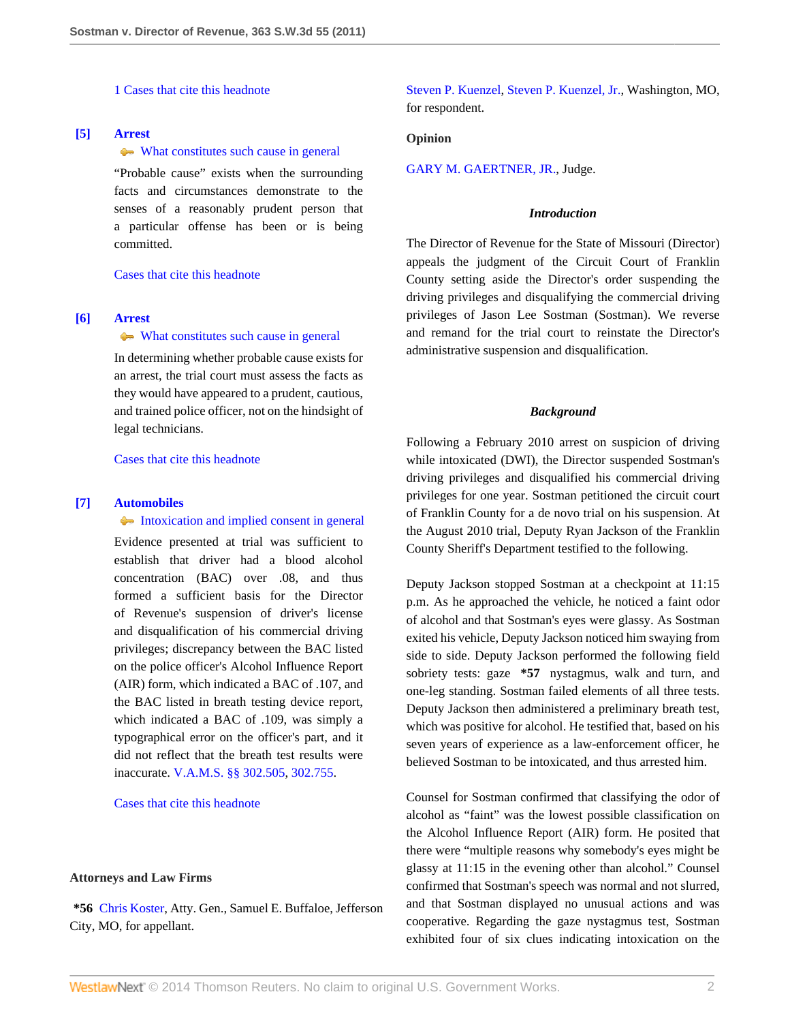[1 Cases that cite this headnote](http://www.westlaw.com/Link/RelatedInformation/DocHeadnoteLink?docGuid=I5f2e27eb261311e18da7c4363d0963b0&headnoteId=202667396400420120708080404&originationContext=document&vr=3.0&rs=cblt1.0&transitionType=CitingReferences&contextData=(sc.Search))

# <span id="page-1-1"></span>**[\[5\]](#page-3-0) [Arrest](http://www.westlaw.com/Browse/Home/KeyNumber/35/View.html?docGuid=I5f2e27eb261311e18da7c4363d0963b0&originationContext=document&vr=3.0&rs=cblt1.0&transitionType=DocumentItem&contextData=(sc.Search))**

### [What constitutes such cause in general](http://www.westlaw.com/Browse/Home/KeyNumber/35k63.4(2)/View.html?docGuid=I5f2e27eb261311e18da7c4363d0963b0&originationContext=document&vr=3.0&rs=cblt1.0&transitionType=DocumentItem&contextData=(sc.Search))

"Probable cause" exists when the surrounding facts and circumstances demonstrate to the senses of a reasonably prudent person that a particular offense has been or is being committed.

[Cases that cite this headnote](http://www.westlaw.com/Link/RelatedInformation/DocHeadnoteLink?docGuid=I5f2e27eb261311e18da7c4363d0963b0&headnoteId=202667396400520120708080404&originationContext=document&vr=3.0&rs=cblt1.0&transitionType=CitingReferences&contextData=(sc.Search))

# <span id="page-1-2"></span>**[\[6\]](#page-3-1) [Arrest](http://www.westlaw.com/Browse/Home/KeyNumber/35/View.html?docGuid=I5f2e27eb261311e18da7c4363d0963b0&originationContext=document&vr=3.0&rs=cblt1.0&transitionType=DocumentItem&contextData=(sc.Search))**

# [What constitutes such cause in general](http://www.westlaw.com/Browse/Home/KeyNumber/35k63.4(2)/View.html?docGuid=I5f2e27eb261311e18da7c4363d0963b0&originationContext=document&vr=3.0&rs=cblt1.0&transitionType=DocumentItem&contextData=(sc.Search))

In determining whether probable cause exists for an arrest, the trial court must assess the facts as they would have appeared to a prudent, cautious, and trained police officer, not on the hindsight of legal technicians.

[Cases that cite this headnote](http://www.westlaw.com/Link/RelatedInformation/DocHeadnoteLink?docGuid=I5f2e27eb261311e18da7c4363d0963b0&headnoteId=202667396400620120708080404&originationContext=document&vr=3.0&rs=cblt1.0&transitionType=CitingReferences&contextData=(sc.Search))

### <span id="page-1-0"></span>**[\[7\]](#page-3-2) [Automobiles](http://www.westlaw.com/Browse/Home/KeyNumber/48A/View.html?docGuid=I5f2e27eb261311e18da7c4363d0963b0&originationContext=document&vr=3.0&rs=cblt1.0&transitionType=DocumentItem&contextData=(sc.Search))**

#### [Intoxication and implied consent in general](http://www.westlaw.com/Browse/Home/KeyNumber/48Ak144.2(10.2)/View.html?docGuid=I5f2e27eb261311e18da7c4363d0963b0&originationContext=document&vr=3.0&rs=cblt1.0&transitionType=DocumentItem&contextData=(sc.Search))

Evidence presented at trial was sufficient to establish that driver had a blood alcohol concentration (BAC) over .08, and thus formed a sufficient basis for the Director of Revenue's suspension of driver's license and disqualification of his commercial driving privileges; discrepancy between the BAC listed on the police officer's Alcohol Influence Report (AIR) form, which indicated a BAC of .107, and the BAC listed in breath testing device report, which indicated a BAC of .109, was simply a typographical error on the officer's part, and it did not reflect that the breath test results were inaccurate. [V.A.M.S. §§ 302.505,](http://www.westlaw.com/Link/Document/FullText?findType=L&pubNum=1000229&cite=MOST302.505&originatingDoc=I5f2e27eb261311e18da7c4363d0963b0&refType=LQ&originationContext=document&vr=3.0&rs=cblt1.0&transitionType=DocumentItem&contextData=(sc.Search)) [302.755](http://www.westlaw.com/Link/Document/FullText?findType=L&pubNum=1000229&cite=MOST302.755&originatingDoc=I5f2e27eb261311e18da7c4363d0963b0&refType=LQ&originationContext=document&vr=3.0&rs=cblt1.0&transitionType=DocumentItem&contextData=(sc.Search)).

#### [Cases that cite this headnote](http://www.westlaw.com/Link/RelatedInformation/DocHeadnoteLink?docGuid=I5f2e27eb261311e18da7c4363d0963b0&headnoteId=202667396400720120708080404&originationContext=document&vr=3.0&rs=cblt1.0&transitionType=CitingReferences&contextData=(sc.Search))

#### **Attorneys and Law Firms**

**\*56** [Chris Koster](http://www.westlaw.com/Link/Document/FullText?findType=h&pubNum=176284&cite=0369913201&originatingDoc=I5f2e27eb261311e18da7c4363d0963b0&refType=RQ&originationContext=document&vr=3.0&rs=cblt1.0&transitionType=DocumentItem&contextData=(sc.Search)), Atty. Gen., Samuel E. Buffaloe, Jefferson City, MO, for appellant.

[Steven P. Kuenzel](http://www.westlaw.com/Link/Document/FullText?findType=h&pubNum=176284&cite=0142838401&originatingDoc=I5f2e27eb261311e18da7c4363d0963b0&refType=RQ&originationContext=document&vr=3.0&rs=cblt1.0&transitionType=DocumentItem&contextData=(sc.Search)), [Steven P. Kuenzel, Jr.](http://www.westlaw.com/Link/Document/FullText?findType=h&pubNum=176284&cite=0142838401&originatingDoc=I5f2e27eb261311e18da7c4363d0963b0&refType=RQ&originationContext=document&vr=3.0&rs=cblt1.0&transitionType=DocumentItem&contextData=(sc.Search)), Washington, MO, for respondent.

#### **Opinion**

[GARY M. GAERTNER, JR.](http://www.westlaw.com/Link/Document/FullText?findType=h&pubNum=176284&cite=0331209401&originatingDoc=I5f2e27eb261311e18da7c4363d0963b0&refType=RQ&originationContext=document&vr=3.0&rs=cblt1.0&transitionType=DocumentItem&contextData=(sc.Search)), Judge.

#### *Introduction*

The Director of Revenue for the State of Missouri (Director) appeals the judgment of the Circuit Court of Franklin County setting aside the Director's order suspending the driving privileges and disqualifying the commercial driving privileges of Jason Lee Sostman (Sostman). We reverse and remand for the trial court to reinstate the Director's administrative suspension and disqualification.

### *Background*

Following a February 2010 arrest on suspicion of driving while intoxicated (DWI), the Director suspended Sostman's driving privileges and disqualified his commercial driving privileges for one year. Sostman petitioned the circuit court of Franklin County for a de novo trial on his suspension. At the August 2010 trial, Deputy Ryan Jackson of the Franklin County Sheriff's Department testified to the following.

Deputy Jackson stopped Sostman at a checkpoint at 11:15 p.m. As he approached the vehicle, he noticed a faint odor of alcohol and that Sostman's eyes were glassy. As Sostman exited his vehicle, Deputy Jackson noticed him swaying from side to side. Deputy Jackson performed the following field sobriety tests: gaze **\*57** nystagmus, walk and turn, and one-leg standing. Sostman failed elements of all three tests. Deputy Jackson then administered a preliminary breath test, which was positive for alcohol. He testified that, based on his seven years of experience as a law-enforcement officer, he believed Sostman to be intoxicated, and thus arrested him.

Counsel for Sostman confirmed that classifying the odor of alcohol as "faint" was the lowest possible classification on the Alcohol Influence Report (AIR) form. He posited that there were "multiple reasons why somebody's eyes might be glassy at 11:15 in the evening other than alcohol." Counsel confirmed that Sostman's speech was normal and not slurred, and that Sostman displayed no unusual actions and was cooperative. Regarding the gaze nystagmus test, Sostman exhibited four of six clues indicating intoxication on the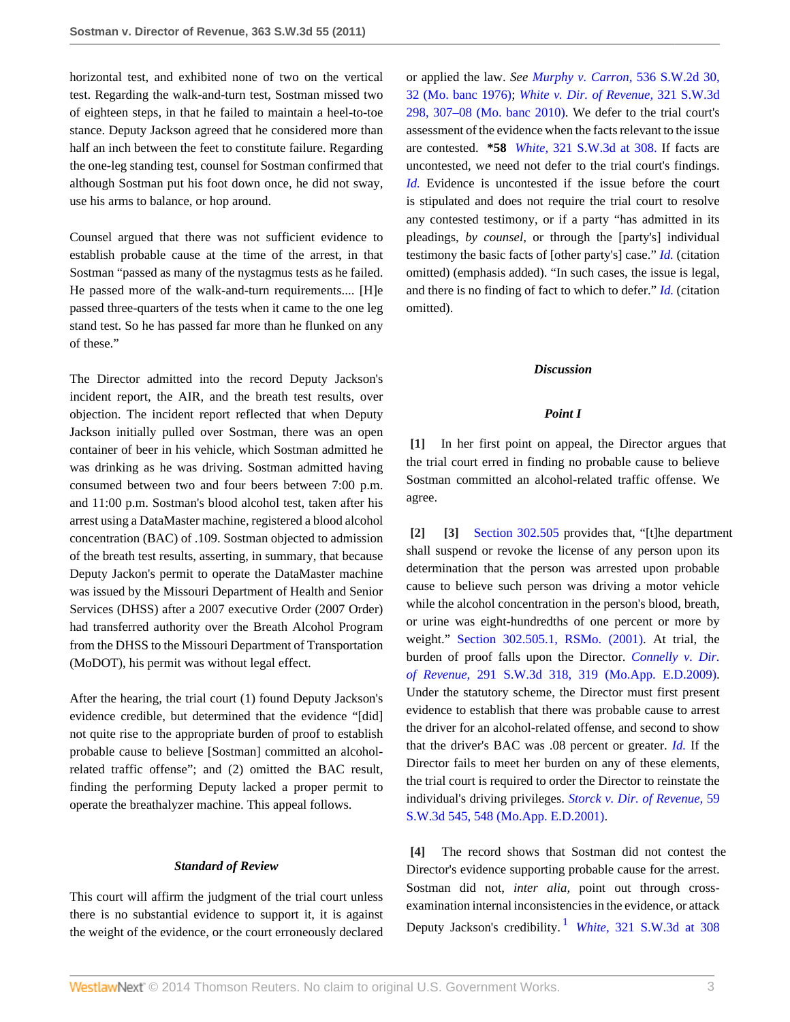horizontal test, and exhibited none of two on the vertical test. Regarding the walk-and-turn test, Sostman missed two of eighteen steps, in that he failed to maintain a heel-to-toe stance. Deputy Jackson agreed that he considered more than half an inch between the feet to constitute failure. Regarding the one-leg standing test, counsel for Sostman confirmed that although Sostman put his foot down once, he did not sway, use his arms to balance, or hop around.

Counsel argued that there was not sufficient evidence to establish probable cause at the time of the arrest, in that Sostman "passed as many of the nystagmus tests as he failed. He passed more of the walk-and-turn requirements.... [H]e passed three-quarters of the tests when it came to the one leg stand test. So he has passed far more than he flunked on any of these."

The Director admitted into the record Deputy Jackson's incident report, the AIR, and the breath test results, over objection. The incident report reflected that when Deputy Jackson initially pulled over Sostman, there was an open container of beer in his vehicle, which Sostman admitted he was drinking as he was driving. Sostman admitted having consumed between two and four beers between 7:00 p.m. and 11:00 p.m. Sostman's blood alcohol test, taken after his arrest using a DataMaster machine, registered a blood alcohol concentration (BAC) of .109. Sostman objected to admission of the breath test results, asserting, in summary, that because Deputy Jackon's permit to operate the DataMaster machine was issued by the Missouri Department of Health and Senior Services (DHSS) after a 2007 executive Order (2007 Order) had transferred authority over the Breath Alcohol Program from the DHSS to the Missouri Department of Transportation (MoDOT), his permit was without legal effect.

After the hearing, the trial court (1) found Deputy Jackson's evidence credible, but determined that the evidence "[did] not quite rise to the appropriate burden of proof to establish probable cause to believe [Sostman] committed an alcoholrelated traffic offense"; and (2) omitted the BAC result, finding the performing Deputy lacked a proper permit to operate the breathalyzer machine. This appeal follows.

#### *Standard of Review*

This court will affirm the judgment of the trial court unless there is no substantial evidence to support it, it is against the weight of the evidence, or the court erroneously declared or applied the law. *See [Murphy v. Carron,](http://www.westlaw.com/Link/Document/FullText?findType=Y&serNum=1976117479&pubNum=713&fi=co_pp_sp_713_32&originationContext=document&vr=3.0&rs=cblt1.0&transitionType=DocumentItem&contextData=(sc.Search)#co_pp_sp_713_32)* 536 S.W.2d 30, [32 \(Mo. banc 1976\);](http://www.westlaw.com/Link/Document/FullText?findType=Y&serNum=1976117479&pubNum=713&fi=co_pp_sp_713_32&originationContext=document&vr=3.0&rs=cblt1.0&transitionType=DocumentItem&contextData=(sc.Search)#co_pp_sp_713_32) *[White v. Dir. of Revenue,](http://www.westlaw.com/Link/Document/FullText?findType=Y&serNum=2022811102&pubNum=4644&fi=co_pp_sp_4644_307&originationContext=document&vr=3.0&rs=cblt1.0&transitionType=DocumentItem&contextData=(sc.Search)#co_pp_sp_4644_307)* 321 S.W.3d [298, 307–08 \(Mo. banc 2010\)](http://www.westlaw.com/Link/Document/FullText?findType=Y&serNum=2022811102&pubNum=4644&fi=co_pp_sp_4644_307&originationContext=document&vr=3.0&rs=cblt1.0&transitionType=DocumentItem&contextData=(sc.Search)#co_pp_sp_4644_307). We defer to the trial court's assessment of the evidence when the facts relevant to the issue are contested. **\*58** *White,* [321 S.W.3d at 308.](http://www.westlaw.com/Link/Document/FullText?findType=Y&serNum=2022811102&pubNum=4644&fi=co_pp_sp_4644_308&originationContext=document&vr=3.0&rs=cblt1.0&transitionType=DocumentItem&contextData=(sc.Search)#co_pp_sp_4644_308) If facts are uncontested, we need not defer to the trial court's findings. *[Id.](http://www.westlaw.com/Link/Document/FullText?findType=Y&serNum=2022811102&originationContext=document&vr=3.0&rs=cblt1.0&transitionType=DocumentItem&contextData=(sc.Search))* Evidence is uncontested if the issue before the court is stipulated and does not require the trial court to resolve any contested testimony, or if a party "has admitted in its pleadings, *by counsel,* or through the [party's] individual testimony the basic facts of [other party's] case." *[Id.](http://www.westlaw.com/Link/Document/FullText?findType=Y&serNum=2022811102&originationContext=document&vr=3.0&rs=cblt1.0&transitionType=DocumentItem&contextData=(sc.Search))* (citation omitted) (emphasis added). "In such cases, the issue is legal, and there is no finding of fact to which to defer." *[Id.](http://www.westlaw.com/Link/Document/FullText?findType=Y&serNum=2022811102&originationContext=document&vr=3.0&rs=cblt1.0&transitionType=DocumentItem&contextData=(sc.Search))* (citation omitted).

# *Discussion*

#### *Point I*

<span id="page-2-0"></span>**[\[1\]](#page-0-0)** In her first point on appeal, the Director argues that the trial court erred in finding no probable cause to believe Sostman committed an alcohol-related traffic offense. We agree.

<span id="page-2-2"></span><span id="page-2-1"></span>**[\[2\]](#page-0-1) [\[3\]](#page-0-2)** [Section 302.505](http://www.westlaw.com/Link/Document/FullText?findType=L&pubNum=1000229&cite=MOST302.505&originatingDoc=I5f2e27eb261311e18da7c4363d0963b0&refType=LQ&originationContext=document&vr=3.0&rs=cblt1.0&transitionType=DocumentItem&contextData=(sc.Search)) provides that, "[t]he department shall suspend or revoke the license of any person upon its determination that the person was arrested upon probable cause to believe such person was driving a motor vehicle while the alcohol concentration in the person's blood, breath, or urine was eight-hundredths of one percent or more by weight." [Section 302.505.1, RSMo. \(2001\)](http://www.westlaw.com/Link/Document/FullText?findType=L&pubNum=1000229&cite=MOST302.505&originatingDoc=I5f2e27eb261311e18da7c4363d0963b0&refType=LQ&originationContext=document&vr=3.0&rs=cblt1.0&transitionType=DocumentItem&contextData=(sc.Search)). At trial, the burden of proof falls upon the Director. *[Connelly v. Dir.](http://www.westlaw.com/Link/Document/FullText?findType=Y&serNum=2019232883&pubNum=4644&fi=co_pp_sp_4644_319&originationContext=document&vr=3.0&rs=cblt1.0&transitionType=DocumentItem&contextData=(sc.Search)#co_pp_sp_4644_319) of Revenue,* [291 S.W.3d 318, 319 \(Mo.App. E.D.2009\)](http://www.westlaw.com/Link/Document/FullText?findType=Y&serNum=2019232883&pubNum=4644&fi=co_pp_sp_4644_319&originationContext=document&vr=3.0&rs=cblt1.0&transitionType=DocumentItem&contextData=(sc.Search)#co_pp_sp_4644_319). Under the statutory scheme, the Director must first present evidence to establish that there was probable cause to arrest the driver for an alcohol-related offense, and second to show that the driver's BAC was .08 percent or greater. *[Id.](http://www.westlaw.com/Link/Document/FullText?findType=Y&serNum=2019232883&originationContext=document&vr=3.0&rs=cblt1.0&transitionType=DocumentItem&contextData=(sc.Search))* If the Director fails to meet her burden on any of these elements, the trial court is required to order the Director to reinstate the individual's driving privileges. *[Storck v. Dir. of Revenue,](http://www.westlaw.com/Link/Document/FullText?findType=Y&serNum=2001916468&pubNum=4644&fi=co_pp_sp_4644_548&originationContext=document&vr=3.0&rs=cblt1.0&transitionType=DocumentItem&contextData=(sc.Search)#co_pp_sp_4644_548)* 59 [S.W.3d 545, 548 \(Mo.App. E.D.2001\).](http://www.westlaw.com/Link/Document/FullText?findType=Y&serNum=2001916468&pubNum=4644&fi=co_pp_sp_4644_548&originationContext=document&vr=3.0&rs=cblt1.0&transitionType=DocumentItem&contextData=(sc.Search)#co_pp_sp_4644_548)

<span id="page-2-4"></span><span id="page-2-3"></span>**[\[4\]](#page-0-3)** The record shows that Sostman did not contest the Director's evidence supporting probable cause for the arrest. Sostman did not, *inter alia,* point out through crossexamination internal inconsistencies in the evidence, or attack Deputy Jackson's credibility. [1](#page-4-0) *White,* [321 S.W.3d at 308](http://www.westlaw.com/Link/Document/FullText?findType=Y&serNum=2022811102&pubNum=4644&fi=co_pp_sp_4644_308&originationContext=document&vr=3.0&rs=cblt1.0&transitionType=DocumentItem&contextData=(sc.Search)#co_pp_sp_4644_308)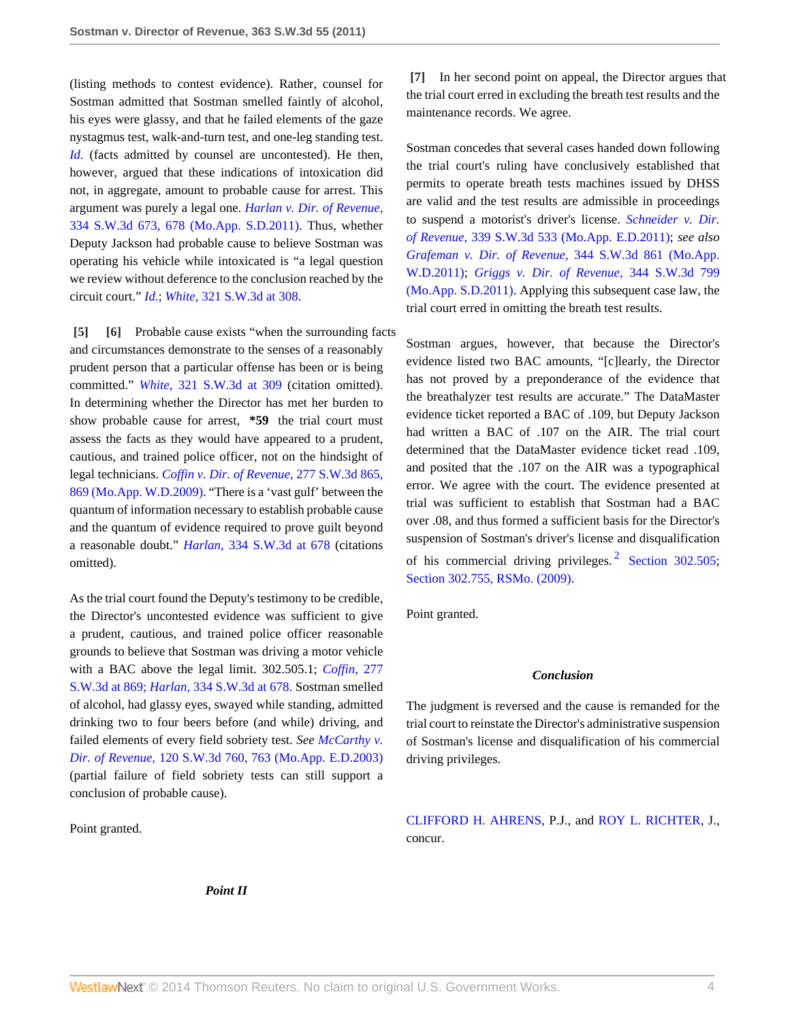(listing methods to contest evidence). Rather, counsel for Sostman admitted that Sostman smelled faintly of alcohol, his eyes were glassy, and that he failed elements of the gaze nystagmus test, walk-and-turn test, and one-leg standing test. *[Id.](http://www.westlaw.com/Link/Document/FullText?findType=Y&serNum=2022811102&originationContext=document&vr=3.0&rs=cblt1.0&transitionType=DocumentItem&contextData=(sc.Search))* (facts admitted by counsel are uncontested). He then, however, argued that these indications of intoxication did not, in aggregate, amount to probable cause for arrest. This argument was purely a legal one. *[Harlan v. Dir. of Revenue,](http://www.westlaw.com/Link/Document/FullText?findType=Y&serNum=2024670821&pubNum=4644&fi=co_pp_sp_4644_678&originationContext=document&vr=3.0&rs=cblt1.0&transitionType=DocumentItem&contextData=(sc.Search)#co_pp_sp_4644_678)* [334 S.W.3d 673, 678 \(Mo.App. S.D.2011\).](http://www.westlaw.com/Link/Document/FullText?findType=Y&serNum=2024670821&pubNum=4644&fi=co_pp_sp_4644_678&originationContext=document&vr=3.0&rs=cblt1.0&transitionType=DocumentItem&contextData=(sc.Search)#co_pp_sp_4644_678) Thus, whether Deputy Jackson had probable cause to believe Sostman was operating his vehicle while intoxicated is "a legal question we review without deference to the conclusion reached by the circuit court." *[Id.](http://www.westlaw.com/Link/Document/FullText?findType=Y&serNum=2024670821&originationContext=document&vr=3.0&rs=cblt1.0&transitionType=DocumentItem&contextData=(sc.Search))*; *White,* [321 S.W.3d at 308](http://www.westlaw.com/Link/Document/FullText?findType=Y&serNum=2022811102&pubNum=4644&fi=co_pp_sp_4644_308&originationContext=document&vr=3.0&rs=cblt1.0&transitionType=DocumentItem&contextData=(sc.Search)#co_pp_sp_4644_308).

<span id="page-3-1"></span><span id="page-3-0"></span>**[\[5\]](#page-1-1) [\[6\]](#page-1-2)** Probable cause exists "when the surrounding facts and circumstances demonstrate to the senses of a reasonably prudent person that a particular offense has been or is being committed." *White,* [321 S.W.3d at 309](http://www.westlaw.com/Link/Document/FullText?findType=Y&serNum=2022811102&pubNum=4644&fi=co_pp_sp_4644_309&originationContext=document&vr=3.0&rs=cblt1.0&transitionType=DocumentItem&contextData=(sc.Search)#co_pp_sp_4644_309) (citation omitted). In determining whether the Director has met her burden to show probable cause for arrest, **\*59** the trial court must assess the facts as they would have appeared to a prudent, cautious, and trained police officer, not on the hindsight of legal technicians. *[Coffin v. Dir. of Revenue,](http://www.westlaw.com/Link/Document/FullText?findType=Y&serNum=2018295595&pubNum=4644&fi=co_pp_sp_4644_869&originationContext=document&vr=3.0&rs=cblt1.0&transitionType=DocumentItem&contextData=(sc.Search)#co_pp_sp_4644_869)* 277 S.W.3d 865, [869 \(Mo.App. W.D.2009\)](http://www.westlaw.com/Link/Document/FullText?findType=Y&serNum=2018295595&pubNum=4644&fi=co_pp_sp_4644_869&originationContext=document&vr=3.0&rs=cblt1.0&transitionType=DocumentItem&contextData=(sc.Search)#co_pp_sp_4644_869). "There is a 'vast gulf' between the quantum of information necessary to establish probable cause and the quantum of evidence required to prove guilt beyond a reasonable doubt." *Harlan,* [334 S.W.3d at 678](http://www.westlaw.com/Link/Document/FullText?findType=Y&serNum=2024670821&pubNum=4644&fi=co_pp_sp_4644_678&originationContext=document&vr=3.0&rs=cblt1.0&transitionType=DocumentItem&contextData=(sc.Search)#co_pp_sp_4644_678) (citations omitted).

As the trial court found the Deputy's testimony to be credible, the Director's uncontested evidence was sufficient to give a prudent, cautious, and trained police officer reasonable grounds to believe that Sostman was driving a motor vehicle with a BAC above the legal limit. 302.505.1; *[Coffin,](http://www.westlaw.com/Link/Document/FullText?findType=Y&serNum=2018295595&pubNum=4644&fi=co_pp_sp_4644_869&originationContext=document&vr=3.0&rs=cblt1.0&transitionType=DocumentItem&contextData=(sc.Search)#co_pp_sp_4644_869)* 277 [S.W.3d at 869;](http://www.westlaw.com/Link/Document/FullText?findType=Y&serNum=2018295595&pubNum=4644&fi=co_pp_sp_4644_869&originationContext=document&vr=3.0&rs=cblt1.0&transitionType=DocumentItem&contextData=(sc.Search)#co_pp_sp_4644_869) *Harlan,* [334 S.W.3d at 678.](http://www.westlaw.com/Link/Document/FullText?findType=Y&serNum=2024670821&pubNum=4644&fi=co_pp_sp_4644_678&originationContext=document&vr=3.0&rs=cblt1.0&transitionType=DocumentItem&contextData=(sc.Search)#co_pp_sp_4644_678) Sostman smelled of alcohol, had glassy eyes, swayed while standing, admitted drinking two to four beers before (and while) driving, and failed elements of every field sobriety test. *See [McCarthy v.](http://www.westlaw.com/Link/Document/FullText?findType=Y&serNum=2003643464&pubNum=4644&fi=co_pp_sp_4644_763&originationContext=document&vr=3.0&rs=cblt1.0&transitionType=DocumentItem&contextData=(sc.Search)#co_pp_sp_4644_763) Dir. of Revenue,* [120 S.W.3d 760, 763 \(Mo.App. E.D.2003\)](http://www.westlaw.com/Link/Document/FullText?findType=Y&serNum=2003643464&pubNum=4644&fi=co_pp_sp_4644_763&originationContext=document&vr=3.0&rs=cblt1.0&transitionType=DocumentItem&contextData=(sc.Search)#co_pp_sp_4644_763) (partial failure of field sobriety tests can still support a conclusion of probable cause).

Point granted.

<span id="page-3-2"></span>**[\[7\]](#page-1-0)** In her second point on appeal, the Director argues that the trial court erred in excluding the breath test results and the maintenance records. We agree.

Sostman concedes that several cases handed down following the trial court's ruling have conclusively established that permits to operate breath tests machines issued by DHSS are valid and the test results are admissible in proceedings to suspend a motorist's driver's license. *[Schneider v. Dir.](http://www.westlaw.com/Link/Document/FullText?findType=Y&serNum=2025147908&pubNum=4644&originationContext=document&vr=3.0&rs=cblt1.0&transitionType=DocumentItem&contextData=(sc.Search)) of Revenue,* [339 S.W.3d 533 \(Mo.App. E.D.2011\)](http://www.westlaw.com/Link/Document/FullText?findType=Y&serNum=2025147908&pubNum=4644&originationContext=document&vr=3.0&rs=cblt1.0&transitionType=DocumentItem&contextData=(sc.Search)); *see also [Grafeman v. Dir. of Revenue,](http://www.westlaw.com/Link/Document/FullText?findType=Y&serNum=2025411970&pubNum=4644&originationContext=document&vr=3.0&rs=cblt1.0&transitionType=DocumentItem&contextData=(sc.Search))* 344 S.W.3d 861 (Mo.App. [W.D.2011\);](http://www.westlaw.com/Link/Document/FullText?findType=Y&serNum=2025411970&pubNum=4644&originationContext=document&vr=3.0&rs=cblt1.0&transitionType=DocumentItem&contextData=(sc.Search)) *[Griggs v. Dir. of Revenue,](http://www.westlaw.com/Link/Document/FullText?findType=Y&serNum=2025330671&pubNum=4644&originationContext=document&vr=3.0&rs=cblt1.0&transitionType=DocumentItem&contextData=(sc.Search))* 344 S.W.3d 799 [\(Mo.App. S.D.2011\).](http://www.westlaw.com/Link/Document/FullText?findType=Y&serNum=2025330671&pubNum=4644&originationContext=document&vr=3.0&rs=cblt1.0&transitionType=DocumentItem&contextData=(sc.Search)) Applying this subsequent case law, the trial court erred in omitting the breath test results.

Sostman argues, however, that because the Director's evidence listed two BAC amounts, "[c]learly, the Director has not proved by a preponderance of the evidence that the breathalyzer test results are accurate." The DataMaster evidence ticket reported a BAC of .109, but Deputy Jackson had written a BAC of .107 on the AIR. The trial court determined that the DataMaster evidence ticket read .109, and posited that the .107 on the AIR was a typographical error. We agree with the court. The evidence presented at trial was sufficient to establish that Sostman had a BAC over .08, and thus formed a sufficient basis for the Director's suspension of Sostman's driver's license and disqualification of his commercial driving privileges.<sup>[2](#page-4-1)</sup> [Section 302.505](http://www.westlaw.com/Link/Document/FullText?findType=L&pubNum=1000229&cite=MOST302.505&originatingDoc=I5f2e27eb261311e18da7c4363d0963b0&refType=LQ&originationContext=document&vr=3.0&rs=cblt1.0&transitionType=DocumentItem&contextData=(sc.Search)); [Section 302.755, RSMo. \(2009\).](http://www.westlaw.com/Link/Document/FullText?findType=L&pubNum=1000229&cite=MOST302.755&originatingDoc=I5f2e27eb261311e18da7c4363d0963b0&refType=LQ&originationContext=document&vr=3.0&rs=cblt1.0&transitionType=DocumentItem&contextData=(sc.Search))

Point granted.

### <span id="page-3-3"></span>*Conclusion*

The judgment is reversed and the cause is remanded for the trial court to reinstate the Director's administrative suspension of Sostman's license and disqualification of his commercial driving privileges.

[CLIFFORD H. AHRENS,](http://www.westlaw.com/Link/Document/FullText?findType=h&pubNum=176284&cite=0236564601&originatingDoc=I5f2e27eb261311e18da7c4363d0963b0&refType=RQ&originationContext=document&vr=3.0&rs=cblt1.0&transitionType=DocumentItem&contextData=(sc.Search)) P.J., and [ROY L. RICHTER](http://www.westlaw.com/Link/Document/FullText?findType=h&pubNum=176284&cite=0142904001&originatingDoc=I5f2e27eb261311e18da7c4363d0963b0&refType=RQ&originationContext=document&vr=3.0&rs=cblt1.0&transitionType=DocumentItem&contextData=(sc.Search)), J., concur.

*Point II*